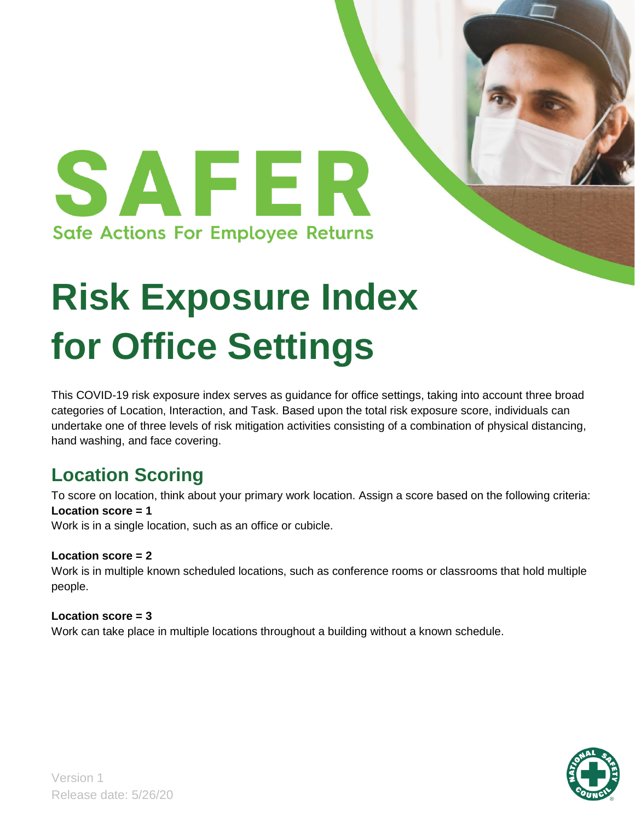

# **Risk Exposure Index for Office Settings**

This COVID-19 risk exposure index serves as guidance for office settings, taking into account three broad categories of Location, Interaction, and Task. Based upon the total risk exposure score, individuals can undertake one of three levels of risk mitigation activities consisting of a combination of physical distancing, hand washing, and face covering.

# **Location Scoring**

To score on location, think about your primary work location. Assign a score based on the following criteria: **Location score = 1**

Work is in a single location, such as an office or cubicle.

### **Location score = 2**

Work is in multiple known scheduled locations, such as conference rooms or classrooms that hold multiple people.

### **Location score = 3**

Work can take place in multiple locations throughout a building without a known schedule.

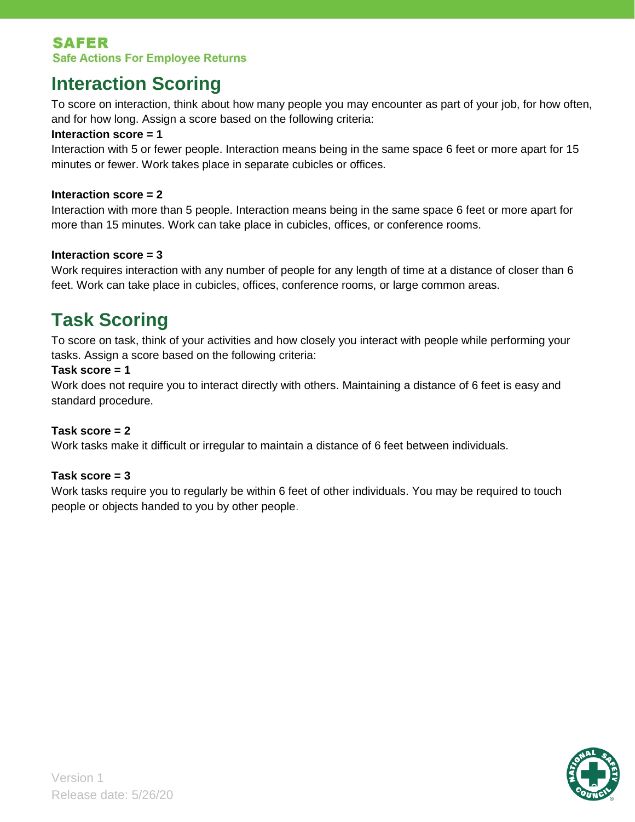## **SAFER Safe Actions For Employee Returns**

# **Interaction Scoring**

To score on interaction, think about how many people you may encounter as part of your job, for how often, and for how long. Assign a score based on the following criteria:

### **Interaction score = 1**

Interaction with 5 or fewer people. Interaction means being in the same space 6 feet or more apart for 15 minutes or fewer. Work takes place in separate cubicles or offices.

### **Interaction score = 2**

Interaction with more than 5 people. Interaction means being in the same space 6 feet or more apart for more than 15 minutes. Work can take place in cubicles, offices, or conference rooms.

### **Interaction score = 3**

Work requires interaction with any number of people for any length of time at a distance of closer than 6 feet. Work can take place in cubicles, offices, conference rooms, or large common areas.

# **Task Scoring**

To score on task, think of your activities and how closely you interact with people while performing your tasks. Assign a score based on the following criteria:

### **Task score = 1**

Work does not require you to interact directly with others. Maintaining a distance of 6 feet is easy and standard procedure.

### **Task score = 2**

Work tasks make it difficult or irregular to maintain a distance of 6 feet between individuals.

### **Task score = 3**

Work tasks require you to regularly be within 6 feet of other individuals. You may be required to touch people or objects handed to you by other people.

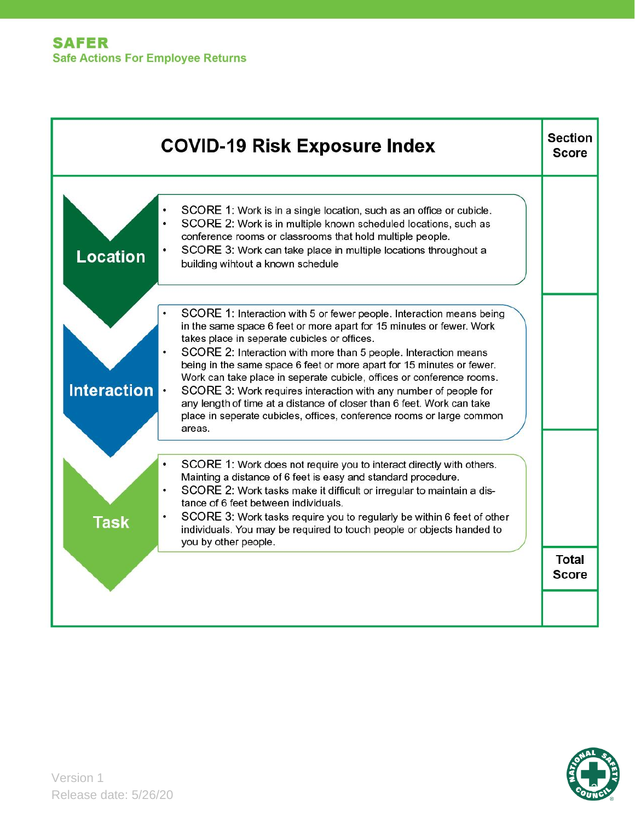